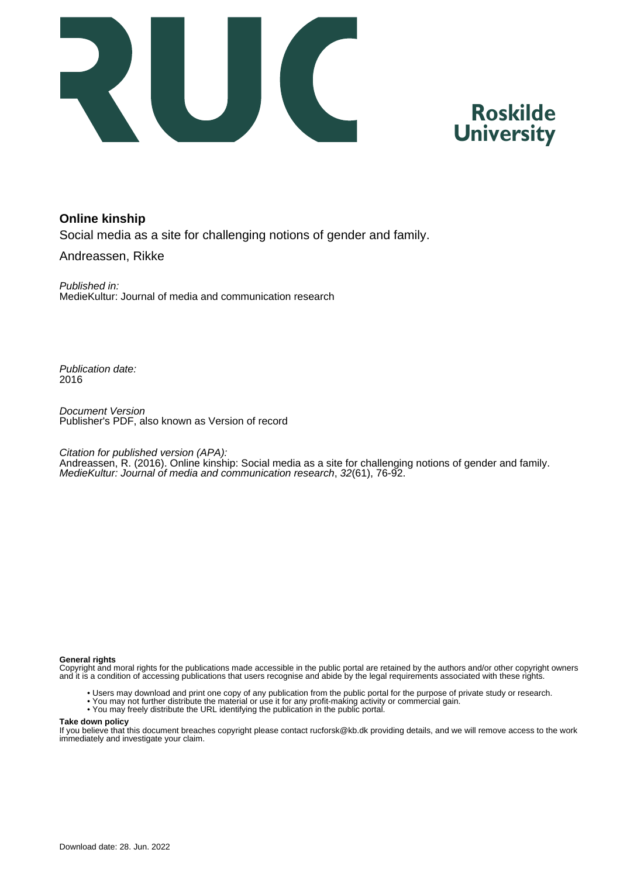



#### **Online kinship**

Social media as a site for challenging notions of gender and family.

Andreassen, Rikke

Published in: MedieKultur: Journal of media and communication research

Publication date: 2016

Document Version Publisher's PDF, also known as Version of record

Citation for published version (APA):

Andreassen, R. (2016). Online kinship: Social media as a site for challenging notions of gender and family. MedieKultur: Journal of media and communication research, 32(61), 76-92.

#### **General rights**

Copyright and moral rights for the publications made accessible in the public portal are retained by the authors and/or other copyright owners and it is a condition of accessing publications that users recognise and abide by the legal requirements associated with these rights.

- Users may download and print one copy of any publication from the public portal for the purpose of private study or research.
- You may not further distribute the material or use it for any profit-making activity or commercial gain.
- You may freely distribute the URL identifying the publication in the public portal.

#### **Take down policy**

If you believe that this document breaches copyright please contact rucforsk@kb.dk providing details, and we will remove access to the work immediately and investigate your claim.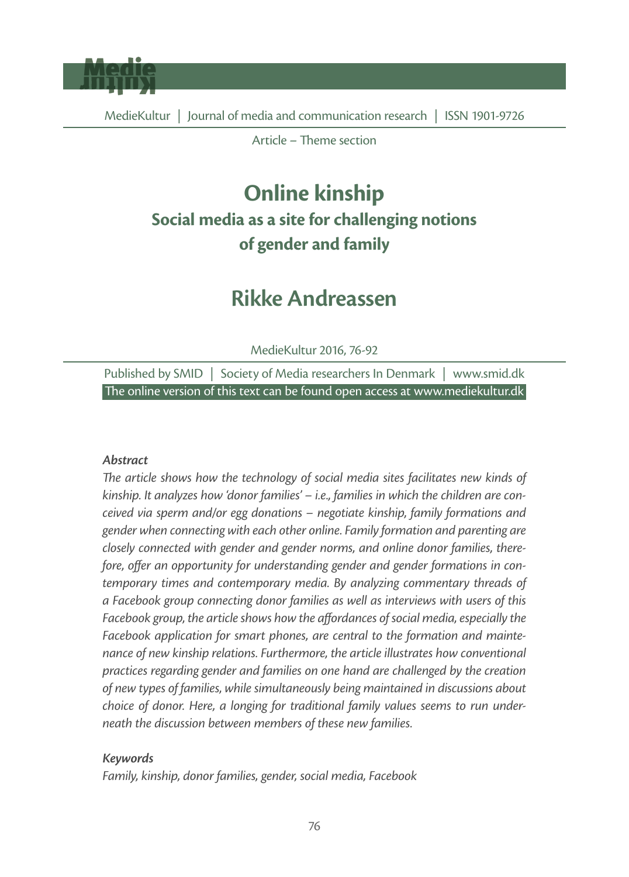

Article – Theme section

# **Online kinship Social media as a site for challenging notions of gender and family**

# **Rikke Andreassen**

MedieKultur 2016, 76-92

Published by SMID | Society of Media researchers In Denmark | www.smid.dk The online version of this text can be found open access at www.mediekultur.dk

#### *Abstract*

The article shows how the technology of social media sites facilitates new kinds of *kinship. It analyzes how 'donor families' – i.e., families in which the children are conceived via sperm and/or egg donations – negotiate kinship, family formations and gender when connecting with each other online. Family formation and parenting are closely connected with gender and gender norms, and online donor families, there*fore, offer an opportunity for understanding gender and gender formations in con*temporary times and contemporary media. By analyzing commentary threads of a Facebook group connecting donor families as well as interviews with users of this*  Facebook group, the article shows how the affordances of social media, especially the *Facebook application for smart phones, are central to the formation and maintenance of new kinship relations. Furthermore, the article illustrates how conventional practices regarding gender and families on one hand are challenged by the creation of new types of families, while simultaneously being maintained in discussions about choice of donor. Here, a longing for traditional family values seems to run underneath the discussion between members of these new families.* 

#### *Keywords*

*Family, kinship, donor families, gender, social media, Facebook*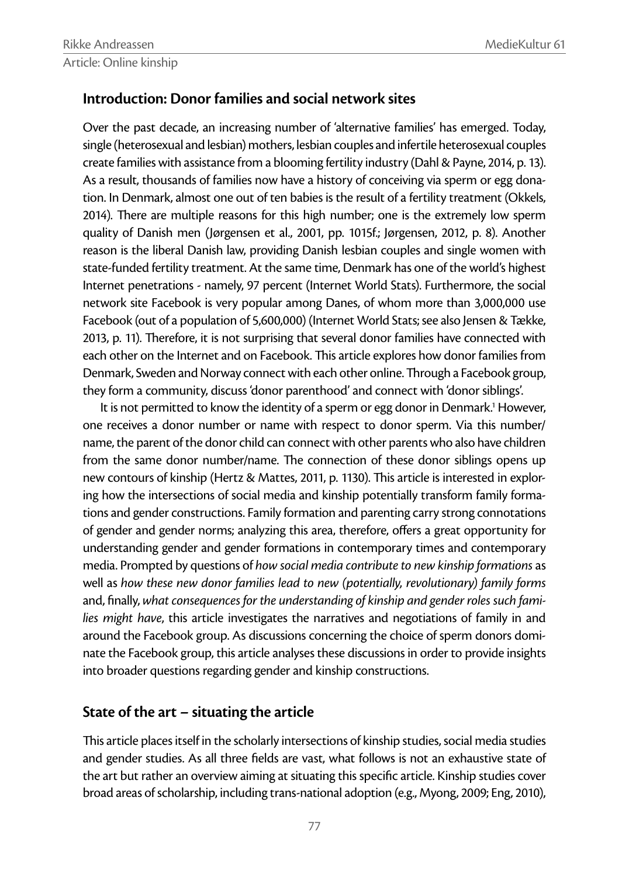# **Introduction: Donor families and social network sites**

Over the past decade, an increasing number of 'alternative families' has emerged. Today, single (heterosexual and lesbian) mothers, lesbian couples and infertile heterosexual couples create families with assistance from a blooming fertility industry (Dahl & Payne, 2014, p. 13). As a result, thousands of families now have a history of conceiving via sperm or egg donation. In Denmark, almost one out of ten babies is the result of a fertility treatment (Okkels, 2014). There are multiple reasons for this high number; one is the extremely low sperm quality of Danish men (Jørgensen et al., 2001, pp. 1015f.; Jørgensen, 2012, p. 8). Another reason is the liberal Danish law, providing Danish lesbian couples and single women with state-funded fertility treatment. At the same time, Denmark has one of the world's highest Internet penetrations - namely, 97 percent (Internet World Stats). Furthermore, the social network site Facebook is very popular among Danes, of whom more than 3,000,000 use Facebook (out of a population of 5,600,000) (Internet World Stats; see also Jensen & Tække, 2013, p. 11). Therefore, it is not surprising that several donor families have connected with each other on the Internet and on Facebook. This article explores how donor families from Denmark, Sweden and Norway connect with each other online. Through a Facebook group, they form a community, discuss 'donor parenthood' and connect with 'donor siblings'.

It is not permitted to know the identity of a sperm or egg donor in Denmark.<sup>1</sup> However, one receives a donor number or name with respect to donor sperm. Via this number/ name, the parent of the donor child can connect with other parents who also have children from the same donor number/name. The connection of these donor siblings opens up new contours of kinship (Hertz & Mattes, 2011, p. 1130). This article is interested in exploring how the intersections of social media and kinship potentially transform family formations and gender constructions. Family formation and parenting carry strong connotations of gender and gender norms; analyzing this area, therefore, offers a great opportunity for understanding gender and gender formations in contemporary times and contemporary media. Prompted by questions of *how social media contribute to new kinship formations* as well as *how these new donor families lead to new (potentially, revolutionary) family forms*  and, finally, what consequences for the understanding of kinship and gender roles such fami*lies might have*, this article investigates the narratives and negotiations of family in and around the Facebook group. As discussions concerning the choice of sperm donors dominate the Facebook group, this article analyses these discussions in order to provide insights into broader questions regarding gender and kinship constructions.

# **State of the art – situating the article**

This article places itself in the scholarly intersections of kinship studies, social media studies and gender studies. As all three fields are vast, what follows is not an exhaustive state of the art but rather an overview aiming at situating this specific article. Kinship studies cover broad areas of scholarship, including trans-national adoption (e.g., Myong, 2009; Eng, 2010),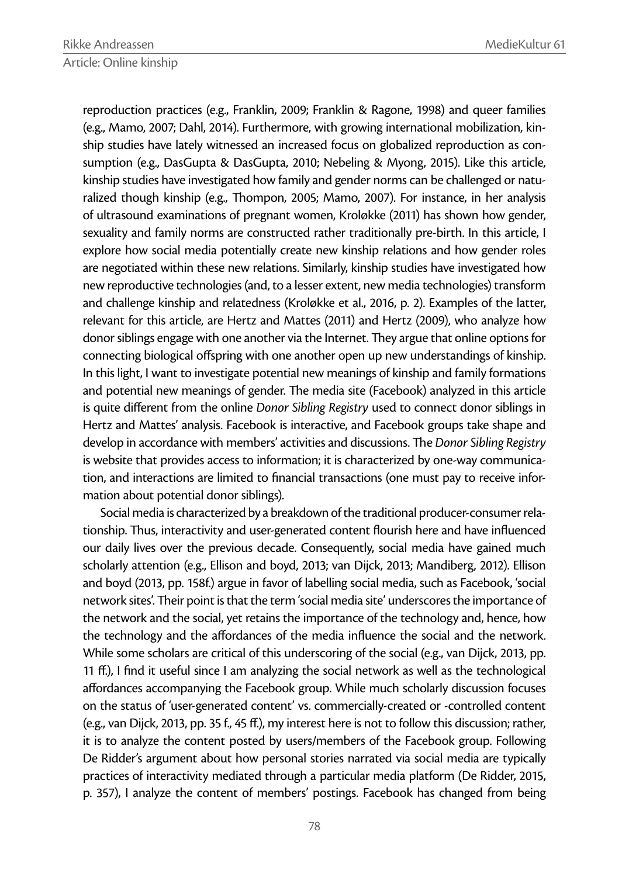reproduction practices (e.g., Franklin, 2009; Franklin & Ragone, 1998) and queer families (e.g., Mamo, 2007; Dahl, 2014). Furthermore, with growing international mobilization, kinship studies have lately witnessed an increased focus on globalized reproduction as consumption (e.g., DasGupta & DasGupta, 2010; Nebeling & Myong, 2015). Like this article, kinship studies have investigated how family and gender norms can be challenged or naturalized though kinship (e.g., Thompon, 2005; Mamo, 2007). For instance, in her analysis of ultrasound examinations of pregnant women, Kroløkke (2011) has shown how gender, sexuality and family norms are constructed rather traditionally pre-birth. In this article, I explore how social media potentially create new kinship relations and how gender roles are negotiated within these new relations. Similarly, kinship studies have investigated how new reproductive technologies (and, to a lesser extent, new media technologies) transform and challenge kinship and relatedness (Kroløkke et al., 2016, p. 2). Examples of the latter, relevant for this article, are Hertz and Mattes (2011) and Hertz (2009), who analyze how donor siblings engage with one another via the Internet. They argue that online options for connecting biological offspring with one another open up new understandings of kinship. In this light, I want to investigate potential new meanings of kinship and family formations and potential new meanings of gender. The media site (Facebook) analyzed in this article is quite different from the online *Donor Sibling Registry* used to connect donor siblings in Hertz and Mattes' analysis. Facebook is interactive, and Facebook groups take shape and develop in accordance with members' activities and discussions. The *Donor Sibling Registry* is website that provides access to information; it is characterized by one-way communication, and interactions are limited to financial transactions (one must pay to receive information about potential donor siblings).

Social media is characterized by a breakdown of the traditional producer-consumer relationship. Thus, interactivity and user-generated content flourish here and have influenced our daily lives over the previous decade. Consequently, social media have gained much scholarly attention (e.g., Ellison and boyd, 2013; van Dijck, 2013; Mandiberg, 2012). Ellison and boyd (2013, pp. 158f.) argue in favor of labelling social media, such as Facebook, 'social network sites'. Their point is that the term 'social media site' underscores the importance of the network and the social, yet retains the importance of the technology and, hence, how the technology and the affordances of the media influence the social and the network. While some scholars are critical of this underscoring of the social (e.g., van Dijck, 2013, pp. 11 ff.), I find it useful since I am analyzing the social network as well as the technological affordances accompanying the Facebook group. While much scholarly discussion focuses on the status of 'user-generated content' vs. commercially-created or -controlled content (e.g., van Dijck, 2013, pp. 35 f., 45 ff.), my interest here is not to follow this discussion; rather, it is to analyze the content posted by users/members of the Facebook group. Following De Ridder's argument about how personal stories narrated via social media are typically practices of interactivity mediated through a particular media platform (De Ridder, 2015, p. 357), I analyze the content of members' postings. Facebook has changed from being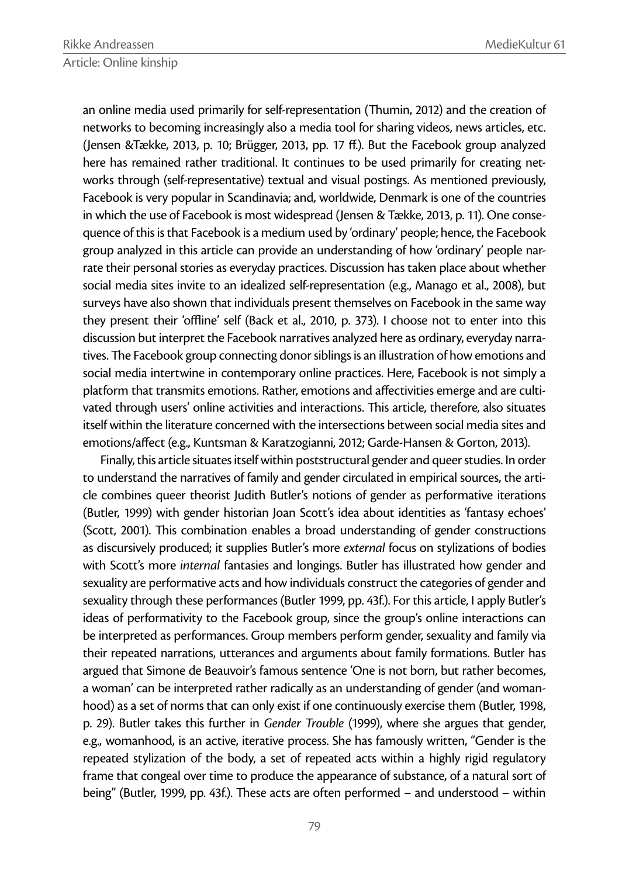an online media used primarily for self-representation (Thumin, 2012) and the creation of networks to becoming increasingly also a media tool for sharing videos, news articles, etc. (Jensen &Tække, 2013, p. 10; Brügger, 2013, pp. 17 ff.). But the Facebook group analyzed here has remained rather traditional. It continues to be used primarily for creating networks through (self-representative) textual and visual postings. As mentioned previously, Facebook is very popular in Scandinavia; and, worldwide, Denmark is one of the countries in which the use of Facebook is most widespread (Jensen & Tække, 2013, p. 11). One consequence of this is that Facebook is a medium used by 'ordinary' people; hence, the Facebook group analyzed in this article can provide an understanding of how 'ordinary' people narrate their personal stories as everyday practices. Discussion has taken place about whether social media sites invite to an idealized self-representation (e.g., Manago et al., 2008), but surveys have also shown that individuals present themselves on Facebook in the same way they present their 'offline' self (Back et al., 2010, p. 373). I choose not to enter into this discussion but interpret the Facebook narratives analyzed here as ordinary, everyday narratives. The Facebook group connecting donor siblings is an illustration of how emotions and social media intertwine in contemporary online practices. Here, Facebook is not simply a platform that transmits emotions. Rather, emotions and affectivities emerge and are cultivated through users' online activities and interactions. This article, therefore, also situates itself within the literature concerned with the intersections between social media sites and emotions/affect (e.g., Kuntsman & Karatzogianni, 2012; Garde-Hansen & Gorton, 2013).

Finally, this article situates itself within poststructural gender and queer studies. In order to understand the narratives of family and gender circulated in empirical sources, the article combines queer theorist Judith Butler's notions of gender as performative iterations (Butler, 1999) with gender historian Joan Scott's idea about identities as 'fantasy echoes' (Scott, 2001). This combination enables a broad understanding of gender constructions as discursively produced; it supplies Butler's more *external* focus on stylizations of bodies with Scott's more *internal* fantasies and longings. Butler has illustrated how gender and sexuality are performative acts and how individuals construct the categories of gender and sexuality through these performances (Butler 1999, pp. 43f.). For this article, I apply Butler's ideas of performativity to the Facebook group, since the group's online interactions can be interpreted as performances. Group members perform gender, sexuality and family via their repeated narrations, utterances and arguments about family formations. Butler has argued that Simone de Beauvoir's famous sentence 'One is not born, but rather becomes, a woman' can be interpreted rather radically as an understanding of gender (and womanhood) as a set of norms that can only exist if one continuously exercise them (Butler, 1998, p. 29). Butler takes this further in *Gender Trouble* (1999), where she argues that gender, e.g., womanhood, is an active, iterative process. She has famously written, "Gender is the repeated stylization of the body, a set of repeated acts within a highly rigid regulatory frame that congeal over time to produce the appearance of substance, of a natural sort of being" (Butler, 1999, pp. 43f.). These acts are often performed – and understood – within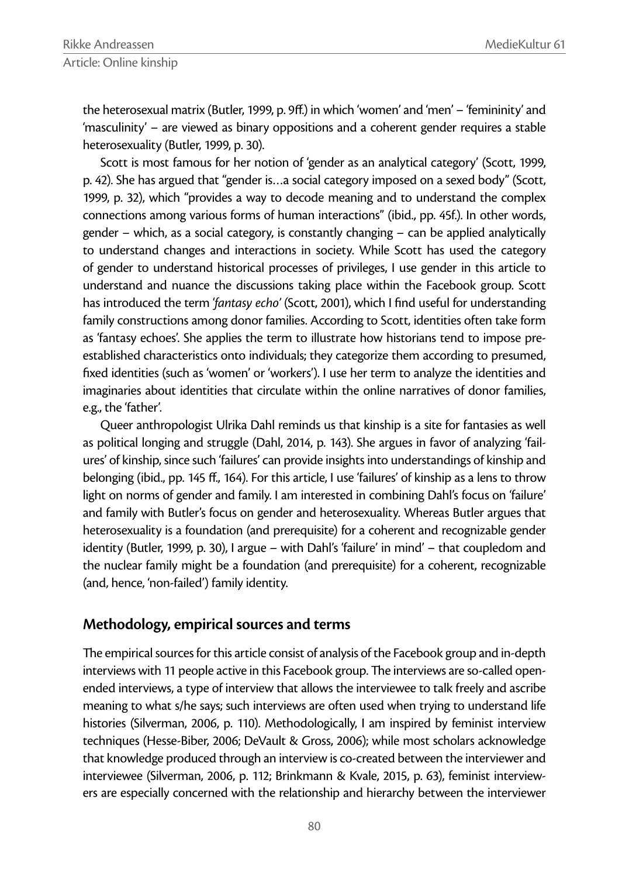the heterosexual matrix (Butler, 1999, p. 9ff.) in which 'women' and 'men' - 'femininity' and 'masculinity' – are viewed as binary oppositions and a coherent gender requires a stable heterosexuality (Butler, 1999, p. 30).

Scott is most famous for her notion of 'gender as an analytical category' (Scott, 1999, p. 42). She has argued that "gender is…a social category imposed on a sexed body" (Scott, 1999, p. 32), which "provides a way to decode meaning and to understand the complex connections among various forms of human interactions" (ibid., pp. 45f.). In other words, gender – which, as a social category, is constantly changing – can be applied analytically to understand changes and interactions in society. While Scott has used the category of gender to understand historical processes of privileges, I use gender in this article to understand and nuance the discussions taking place within the Facebook group. Scott has introduced the term 'fantasy echo' (Scott, 2001), which I find useful for understanding family constructions among donor families. According to Scott, identities often take form as 'fantasy echoes'. She applies the term to illustrate how historians tend to impose preestablished characteristics onto individuals; they categorize them according to presumed, fixed identities (such as 'women' or 'workers'). I use her term to analyze the identities and imaginaries about identities that circulate within the online narratives of donor families, e.g., the 'father'.

Queer anthropologist Ulrika Dahl reminds us that kinship is a site for fantasies as well as political longing and struggle (Dahl, 2014, p. 143). She argues in favor of analyzing 'failures' of kinship, since such 'failures' can provide insights into understandings of kinship and belonging (ibid., pp. 145 ff., 164). For this article, I use 'failures' of kinship as a lens to throw light on norms of gender and family. I am interested in combining Dahl's focus on 'failure' and family with Butler's focus on gender and heterosexuality. Whereas Butler argues that heterosexuality is a foundation (and prerequisite) for a coherent and recognizable gender identity (Butler, 1999, p. 30), I argue – with Dahl's 'failure' in mind' – that coupledom and the nuclear family might be a foundation (and prerequisite) for a coherent, recognizable (and, hence, 'non-failed') family identity.

### **Methodology, empirical sources and terms**

The empirical sources for this article consist of analysis of the Facebook group and in-depth interviews with 11 people active in this Facebook group. The interviews are so-called openended interviews, a type of interview that allows the interviewee to talk freely and ascribe meaning to what s/he says; such interviews are often used when trying to understand life histories (Silverman, 2006, p. 110). Methodologically, I am inspired by feminist interview techniques (Hesse-Biber, 2006; DeVault & Gross, 2006); while most scholars acknowledge that knowledge produced through an interview is co-created between the interviewer and interviewee (Silverman, 2006, p. 112; Brinkmann & Kvale, 2015, p. 63), feminist interviewers are especially concerned with the relationship and hierarchy between the interviewer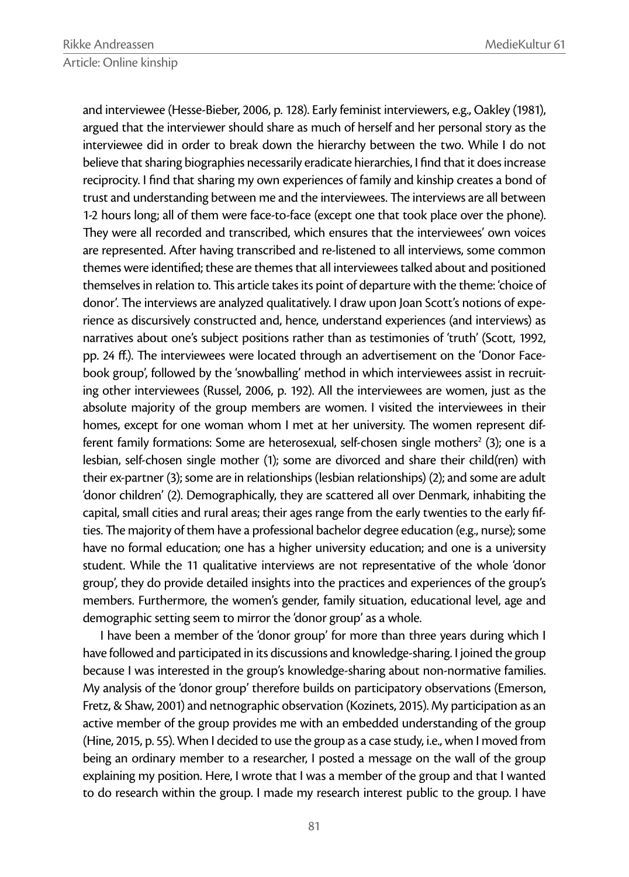and interviewee (Hesse-Bieber, 2006, p. 128). Early feminist interviewers, e.g., Oakley (1981), argued that the interviewer should share as much of herself and her personal story as the interviewee did in order to break down the hierarchy between the two. While I do not believe that sharing biographies necessarily eradicate hierarchies, I find that it does increase reciprocity. I find that sharing my own experiences of family and kinship creates a bond of trust and understanding between me and the interviewees. The interviews are all between 1-2 hours long; all of them were face-to-face (except one that took place over the phone). They were all recorded and transcribed, which ensures that the interviewees' own voices are represented. After having transcribed and re-listened to all interviews, some common themes were identified; these are themes that all interviewees talked about and positioned themselves in relation to. This article takes its point of departure with the theme: 'choice of donor'. The interviews are analyzed qualitatively. I draw upon Joan Scott's notions of experience as discursively constructed and, hence, understand experiences (and interviews) as narratives about one's subject positions rather than as testimonies of 'truth' (Scott, 1992, pp. 24 ff.). The interviewees were located through an advertisement on the 'Donor Facebook group', followed by the 'snowballing' method in which interviewees assist in recruiting other interviewees (Russel, 2006, p. 192). All the interviewees are women, just as the absolute majority of the group members are women. I visited the interviewees in their homes, except for one woman whom I met at her university. The women represent different family formations: Some are heterosexual, self-chosen single mothers<sup>2</sup> (3); one is a lesbian, self-chosen single mother (1); some are divorced and share their child(ren) with their ex-partner (3); some are in relationships (lesbian relationships) (2); and some are adult 'donor children' (2). Demographically, they are scattered all over Denmark, inhabiting the capital, small cities and rural areas; their ages range from the early twenties to the early fifties. The majority of them have a professional bachelor degree education (e.g., nurse); some have no formal education; one has a higher university education; and one is a university student. While the 11 qualitative interviews are not representative of the whole 'donor group', they do provide detailed insights into the practices and experiences of the group's members. Furthermore, the women's gender, family situation, educational level, age and demographic setting seem to mirror the 'donor group' as a whole.

I have been a member of the 'donor group' for more than three years during which I have followed and participated in its discussions and knowledge-sharing. I joined the group because I was interested in the group's knowledge-sharing about non-normative families. My analysis of the 'donor group' therefore builds on participatory observations (Emerson, Fretz, & Shaw, 2001) and netnographic observation (Kozinets, 2015). My participation as an active member of the group provides me with an embedded understanding of the group (Hine, 2015, p. 55). When I decided to use the group as a case study, i.e., when I moved from being an ordinary member to a researcher, I posted a message on the wall of the group explaining my position. Here, I wrote that I was a member of the group and that I wanted to do research within the group. I made my research interest public to the group. I have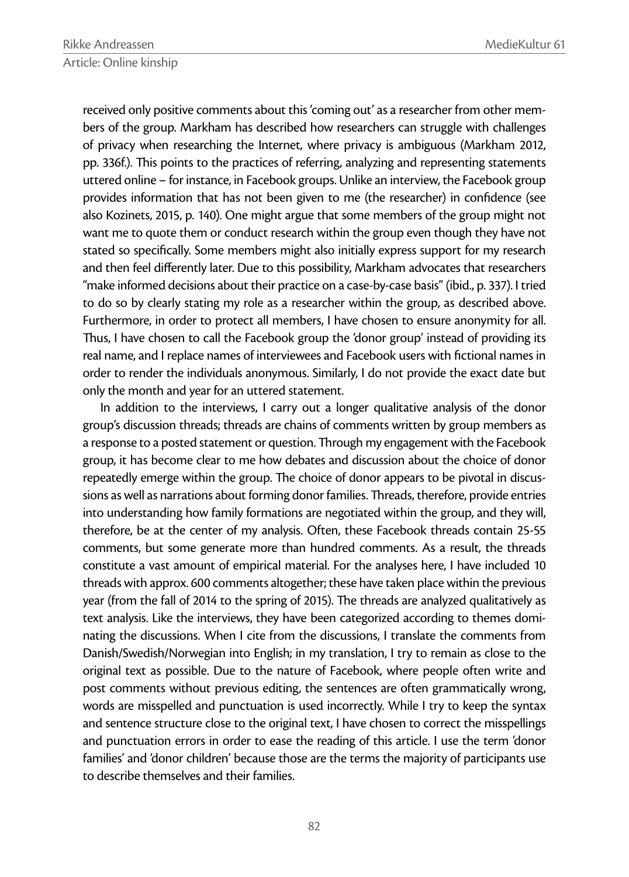received only positive comments about this 'coming out' as a researcher from other members of the group. Markham has described how researchers can struggle with challenges of privacy when researching the Internet, where privacy is ambiguous (Markham 2012, pp. 336f.). This points to the practices of referring, analyzing and representing statements uttered online – for instance, in Facebook groups. Unlike an interview, the Facebook group provides information that has not been given to me (the researcher) in confidence (see also Kozinets, 2015, p. 140). One might argue that some members of the group might not want me to quote them or conduct research within the group even though they have not stated so specifically. Some members might also initially express support for my research and then feel differently later. Due to this possibility, Markham advocates that researchers "make informed decisions about their practice on a case-by-case basis" (ibid., p. 337). I tried to do so by clearly stating my role as a researcher within the group, as described above. Furthermore, in order to protect all members, I have chosen to ensure anonymity for all. Thus, I have chosen to call the Facebook group the 'donor group' instead of providing its real name, and I replace names of interviewees and Facebook users with fictional names in order to render the individuals anonymous. Similarly, I do not provide the exact date but only the month and year for an uttered statement.

In addition to the interviews, I carry out a longer qualitative analysis of the donor group's discussion threads; threads are chains of comments written by group members as a response to a posted statement or question. Through my engagement with the Facebook group, it has become clear to me how debates and discussion about the choice of donor repeatedly emerge within the group. The choice of donor appears to be pivotal in discussions as well as narrations about forming donor families. Threads, therefore, provide entries into understanding how family formations are negotiated within the group, and they will, therefore, be at the center of my analysis. Often, these Facebook threads contain 25-55 comments, but some generate more than hundred comments. As a result, the threads constitute a vast amount of empirical material. For the analyses here, I have included 10 threads with approx. 600 comments altogether; these have taken place within the previous year (from the fall of 2014 to the spring of 2015). The threads are analyzed qualitatively as text analysis. Like the interviews, they have been categorized according to themes dominating the discussions. When I cite from the discussions, I translate the comments from Danish/Swedish/Norwegian into English; in my translation, I try to remain as close to the original text as possible. Due to the nature of Facebook, where people often write and post comments without previous editing, the sentences are often grammatically wrong, words are misspelled and punctuation is used incorrectly. While I try to keep the syntax and sentence structure close to the original text, I have chosen to correct the misspellings and punctuation errors in order to ease the reading of this article. I use the term 'donor families' and 'donor children' because those are the terms the majority of participants use to describe themselves and their families.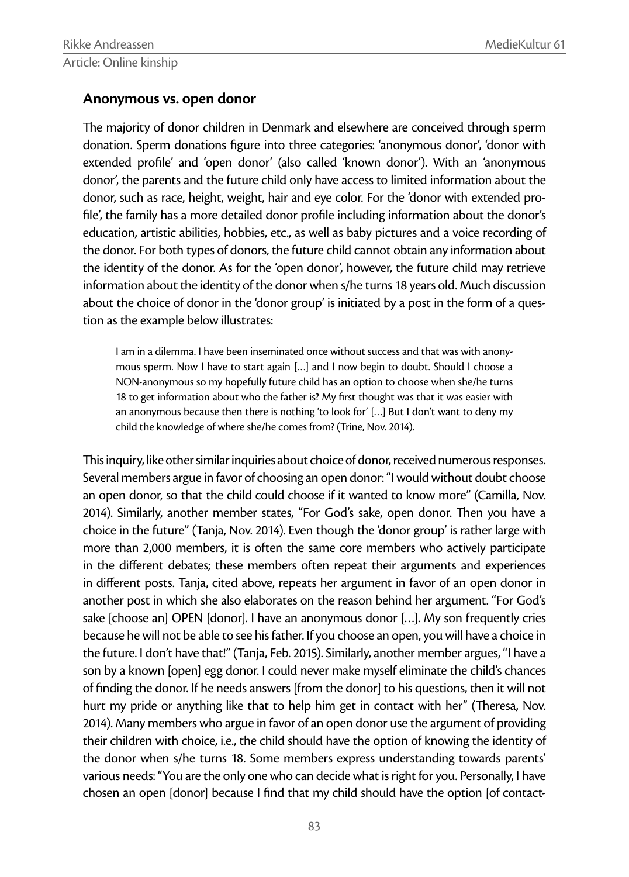### **Anonymous vs. open donor**

The majority of donor children in Denmark and elsewhere are conceived through sperm donation. Sperm donations figure into three categories: 'anonymous donor', 'donor with extended profile' and 'open donor' (also called 'known donor'). With an 'anonymous donor', the parents and the future child only have access to limited information about the donor, such as race, height, weight, hair and eye color. For the 'donor with extended profile', the family has a more detailed donor profile including information about the donor's education, artistic abilities, hobbies, etc., as well as baby pictures and a voice recording of the donor. For both types of donors, the future child cannot obtain any information about the identity of the donor. As for the 'open donor', however, the future child may retrieve information about the identity of the donor when s/he turns 18 years old. Much discussion about the choice of donor in the 'donor group' is initiated by a post in the form of a question as the example below illustrates:

I am in a dilemma. I have been inseminated once without success and that was with anonymous sperm. Now I have to start again […] and I now begin to doubt. Should I choose a NON-anonymous so my hopefully future child has an option to choose when she/he turns 18 to get information about who the father is? My first thought was that it was easier with an anonymous because then there is nothing 'to look for' […] But I don't want to deny my child the knowledge of where she/he comes from? (Trine, Nov. 2014).

This inquiry, like other similar inquiries about choice of donor, received numerous responses. Several members argue in favor of choosing an open donor: "I would without doubt choose an open donor, so that the child could choose if it wanted to know more" (Camilla, Nov. 2014). Similarly, another member states, "For God's sake, open donor. Then you have a choice in the future" (Tanja, Nov. 2014). Even though the 'donor group' is rather large with more than 2,000 members, it is often the same core members who actively participate in the different debates; these members often repeat their arguments and experiences in different posts. Tanja, cited above, repeats her argument in favor of an open donor in another post in which she also elaborates on the reason behind her argument. "For God's sake [choose an] OPEN [donor]. I have an anonymous donor […]. My son frequently cries because he will not be able to see his father. If you choose an open, you will have a choice in the future. I don't have that!" (Tanja, Feb. 2015). Similarly, another member argues, "I have a son by a known [open] egg donor. I could never make myself eliminate the child's chances of finding the donor. If he needs answers [from the donor] to his questions, then it will not hurt my pride or anything like that to help him get in contact with her" (Theresa, Nov. 2014). Many members who argue in favor of an open donor use the argument of providing their children with choice, i.e., the child should have the option of knowing the identity of the donor when s/he turns 18. Some members express understanding towards parents' various needs: "You are the only one who can decide what is right for you. Personally, I have chosen an open [donor] because I find that my child should have the option [of contact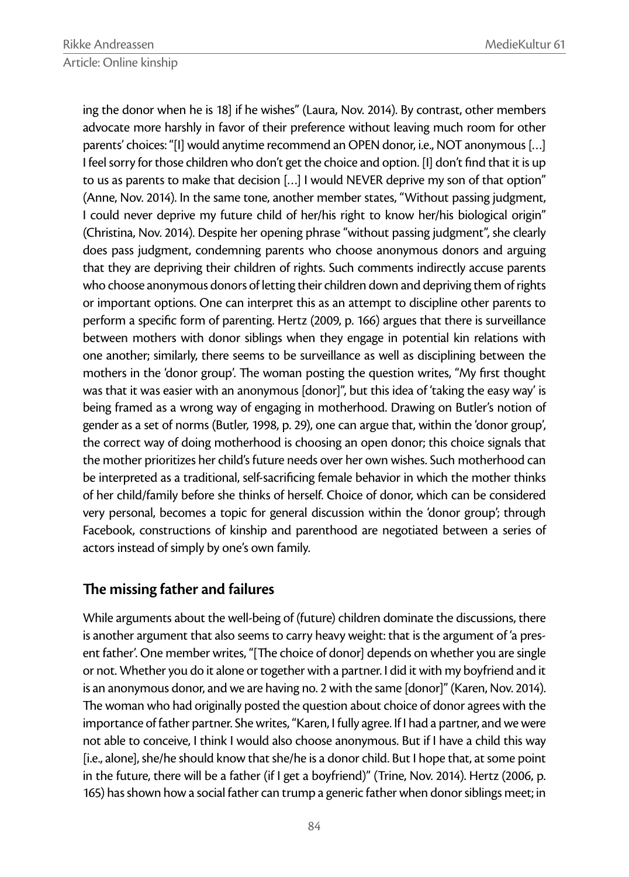ing the donor when he is 18] if he wishes" (Laura, Nov. 2014). By contrast, other members advocate more harshly in favor of their preference without leaving much room for other parents' choices: "[I] would anytime recommend an OPEN donor, i.e., NOT anonymous […] I feel sorry for those children who don't get the choice and option. [I] don't find that it is up to us as parents to make that decision […] I would NEVER deprive my son of that option" (Anne, Nov. 2014). In the same tone, another member states, "Without passing judgment, I could never deprive my future child of her/his right to know her/his biological origin" (Christina, Nov. 2014). Despite her opening phrase "without passing judgment", she clearly does pass judgment, condemning parents who choose anonymous donors and arguing that they are depriving their children of rights. Such comments indirectly accuse parents who choose anonymous donors of letting their children down and depriving them of rights or important options. One can interpret this as an attempt to discipline other parents to perform a specific form of parenting. Hertz (2009, p. 166) argues that there is surveillance between mothers with donor siblings when they engage in potential kin relations with one another; similarly, there seems to be surveillance as well as disciplining between the mothers in the 'donor group'. The woman posting the question writes, "My first thought was that it was easier with an anonymous [donor]", but this idea of 'taking the easy way' is being framed as a wrong way of engaging in motherhood. Drawing on Butler's notion of gender as a set of norms (Butler, 1998, p. 29), one can argue that, within the 'donor group', the correct way of doing motherhood is choosing an open donor; this choice signals that the mother prioritizes her child's future needs over her own wishes. Such motherhood can be interpreted as a traditional, self-sacrificing female behavior in which the mother thinks of her child/family before she thinks of herself. Choice of donor, which can be considered very personal, becomes a topic for general discussion within the 'donor group'; through Facebook, constructions of kinship and parenthood are negotiated between a series of actors instead of simply by one's own family.

# **The missing father and failures**

While arguments about the well-being of (future) children dominate the discussions, there is another argument that also seems to carry heavy weight: that is the argument of 'a present father'. One member writes, "[The choice of donor] depends on whether you are single or not. Whether you do it alone or together with a partner. I did it with my boyfriend and it is an anonymous donor, and we are having no. 2 with the same [donor]" (Karen, Nov. 2014). The woman who had originally posted the question about choice of donor agrees with the importance of father partner. She writes, "Karen, I fully agree. If I had a partner, and we were not able to conceive, I think I would also choose anonymous. But if I have a child this way [i.e., alone], she/he should know that she/he is a donor child. But I hope that, at some point in the future, there will be a father (if I get a boyfriend)" (Trine, Nov. 2014). Hertz (2006, p. 165) has shown how a social father can trump a generic father when donor siblings meet; in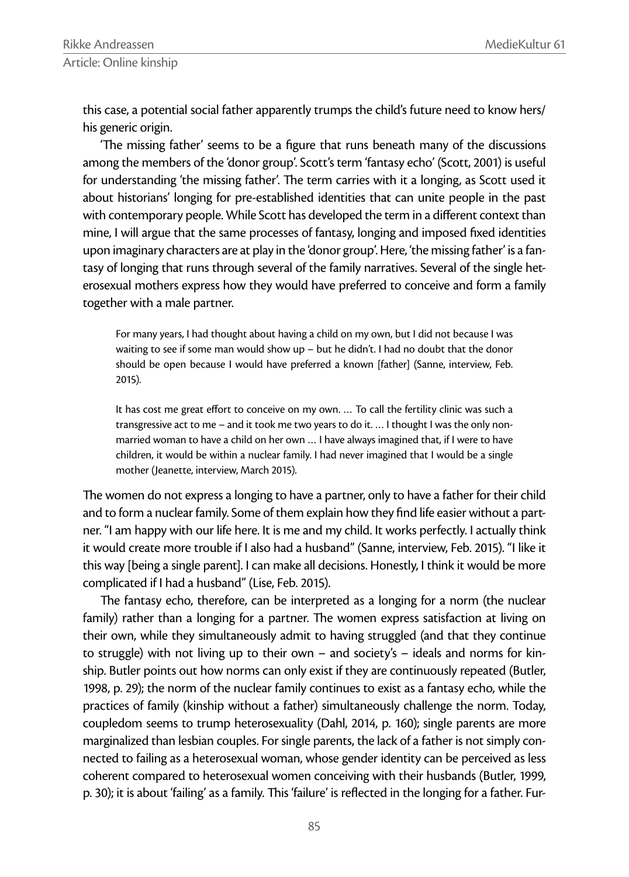this case, a potential social father apparently trumps the child's future need to know hers/ his generic origin.

'The missing father' seems to be a figure that runs beneath many of the discussions among the members of the 'donor group'. Scott's term 'fantasy echo' (Scott, 2001) is useful for understanding 'the missing father'. The term carries with it a longing, as Scott used it about historians' longing for pre-established identities that can unite people in the past with contemporary people. While Scott has developed the term in a different context than mine, I will argue that the same processes of fantasy, longing and imposed fixed identities upon imaginary characters are at play in the 'donor group'. Here, 'the missing father' is a fantasy of longing that runs through several of the family narratives. Several of the single heterosexual mothers express how they would have preferred to conceive and form a family together with a male partner.

For many years, I had thought about having a child on my own, but I did not because I was waiting to see if some man would show up  $-$  but he didn't. I had no doubt that the donor should be open because I would have preferred a known [father] (Sanne, interview, Feb. 2015).

It has cost me great effort to conceive on my own. ... To call the fertility clinic was such a transgressive act to me – and it took me two years to do it. … I thought I was the only nonmarried woman to have a child on her own … I have always imagined that, if I were to have children, it would be within a nuclear family. I had never imagined that I would be a single mother (Jeanette, interview, March 2015).

The women do not express a longing to have a partner, only to have a father for their child and to form a nuclear family. Some of them explain how they find life easier without a partner. "I am happy with our life here. It is me and my child. It works perfectly. I actually think it would create more trouble if I also had a husband" (Sanne, interview, Feb. 2015). "I like it this way [being a single parent]. I can make all decisions. Honestly, I think it would be more complicated if I had a husband" (Lise, Feb. 2015).

The fantasy echo, therefore, can be interpreted as a longing for a norm (the nuclear family) rather than a longing for a partner. The women express satisfaction at living on their own, while they simultaneously admit to having struggled (and that they continue to struggle) with not living up to their own – and society's – ideals and norms for kinship. Butler points out how norms can only exist if they are continuously repeated (Butler, 1998, p. 29); the norm of the nuclear family continues to exist as a fantasy echo, while the practices of family (kinship without a father) simultaneously challenge the norm. Today, coupledom seems to trump heterosexuality (Dahl, 2014, p. 160); single parents are more marginalized than lesbian couples. For single parents, the lack of a father is not simply connected to failing as a heterosexual woman, whose gender identity can be perceived as less coherent compared to heterosexual women conceiving with their husbands (Butler, 1999, p. 30); it is about 'failing' as a family. This 'failure' is reflected in the longing for a father. Fur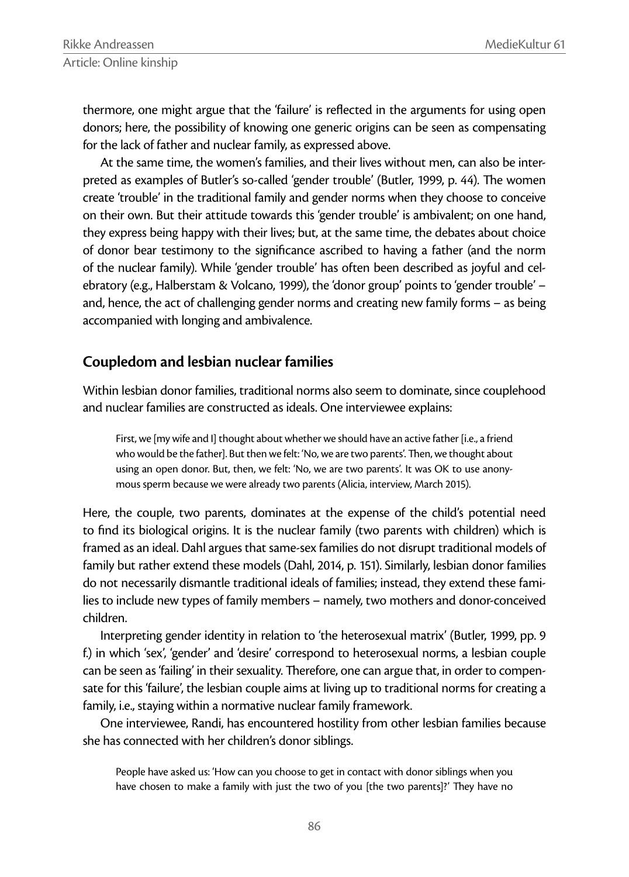thermore, one might argue that the 'failure' is reflected in the arguments for using open donors; here, the possibility of knowing one generic origins can be seen as compensating for the lack of father and nuclear family, as expressed above.

At the same time, the women's families, and their lives without men, can also be interpreted as examples of Butler's so-called 'gender trouble' (Butler, 1999, p. 44). The women create 'trouble' in the traditional family and gender norms when they choose to conceive on their own. But their attitude towards this 'gender trouble' is ambivalent; on one hand, they express being happy with their lives; but, at the same time, the debates about choice of donor bear testimony to the significance ascribed to having a father (and the norm of the nuclear family). While 'gender trouble' has often been described as joyful and celebratory (e.g., Halberstam & Volcano, 1999), the 'donor group' points to 'gender trouble' – and, hence, the act of challenging gender norms and creating new family forms – as being accompanied with longing and ambivalence.

### **Coupledom and lesbian nuclear families**

Within lesbian donor families, traditional norms also seem to dominate, since couplehood and nuclear families are constructed as ideals. One interviewee explains:

First, we [my wife and I] thought about whether we should have an active father [i.e., a friend who would be the father]. But then we felt: 'No, we are two parents'. Then, we thought about using an open donor. But, then, we felt: 'No, we are two parents'. It was OK to use anonymous sperm because we were already two parents (Alicia, interview, March 2015).

Here, the couple, two parents, dominates at the expense of the child's potential need to find its biological origins. It is the nuclear family (two parents with children) which is framed as an ideal. Dahl argues that same-sex families do not disrupt traditional models of family but rather extend these models (Dahl, 2014, p. 151). Similarly, lesbian donor families do not necessarily dismantle traditional ideals of families; instead, they extend these families to include new types of family members – namely, two mothers and donor-conceived children.

Interpreting gender identity in relation to 'the heterosexual matrix' (Butler, 1999, pp. 9 f.) in which 'sex', 'gender' and 'desire' correspond to heterosexual norms, a lesbian couple can be seen as 'failing' in their sexuality. Therefore, one can argue that, in order to compensate for this 'failure', the lesbian couple aims at living up to traditional norms for creating a family, i.e., staying within a normative nuclear family framework.

One interviewee, Randi, has encountered hostility from other lesbian families because she has connected with her children's donor siblings.

People have asked us: 'How can you choose to get in contact with donor siblings when you have chosen to make a family with just the two of you [the two parents]?' They have no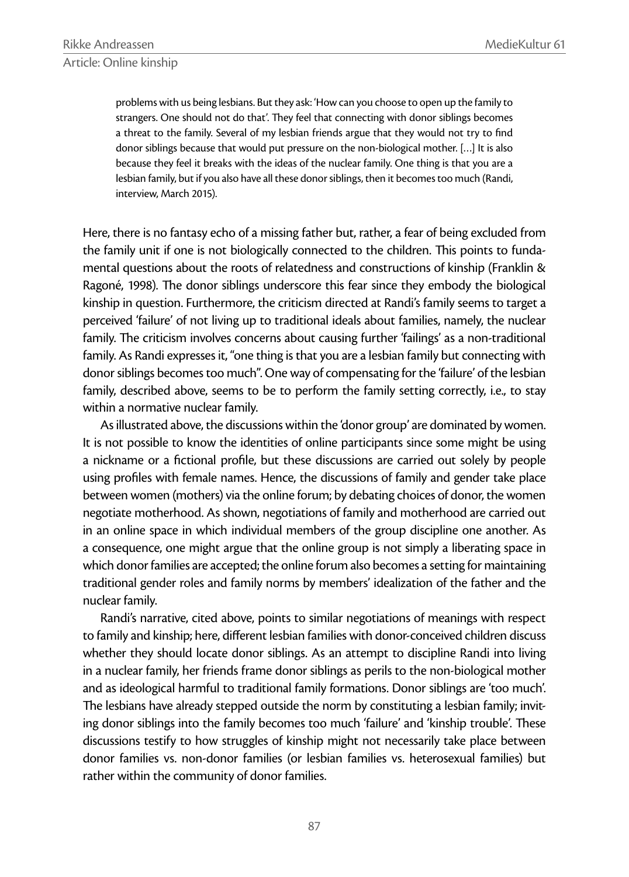problems with us being lesbians. But they ask: 'How can you choose to open up the family to strangers. One should not do that'. They feel that connecting with donor siblings becomes a threat to the family. Several of my lesbian friends argue that they would not try to find donor siblings because that would put pressure on the non-biological mother. […] It is also because they feel it breaks with the ideas of the nuclear family. One thing is that you are a lesbian family, but if you also have all these donor siblings, then it becomes too much (Randi, interview, March 2015).

Here, there is no fantasy echo of a missing father but, rather, a fear of being excluded from the family unit if one is not biologically connected to the children. This points to fundamental questions about the roots of relatedness and constructions of kinship (Franklin & Ragoné, 1998). The donor siblings underscore this fear since they embody the biological kinship in question. Furthermore, the criticism directed at Randi's family seems to target a perceived 'failure' of not living up to traditional ideals about families, namely, the nuclear family. The criticism involves concerns about causing further 'failings' as a non-traditional family. As Randi expresses it, "one thing is that you are a lesbian family but connecting with donor siblings becomes too much". One way of compensating for the 'failure' of the lesbian family, described above, seems to be to perform the family setting correctly, i.e., to stay within a normative nuclear family.

As illustrated above, the discussions within the 'donor group' are dominated by women. It is not possible to know the identities of online participants since some might be using a nickname or a fictional profile, but these discussions are carried out solely by people using profiles with female names. Hence, the discussions of family and gender take place between women (mothers) via the online forum; by debating choices of donor, the women negotiate motherhood. As shown, negotiations of family and motherhood are carried out in an online space in which individual members of the group discipline one another. As a consequence, one might argue that the online group is not simply a liberating space in which donor families are accepted; the online forum also becomes a setting for maintaining traditional gender roles and family norms by members' idealization of the father and the nuclear family.

Randi's narrative, cited above, points to similar negotiations of meanings with respect to family and kinship; here, different lesbian families with donor-conceived children discuss whether they should locate donor siblings. As an attempt to discipline Randi into living in a nuclear family, her friends frame donor siblings as perils to the non-biological mother and as ideological harmful to traditional family formations. Donor siblings are 'too much'. The lesbians have already stepped outside the norm by constituting a lesbian family; inviting donor siblings into the family becomes too much 'failure' and 'kinship trouble'. These discussions testify to how struggles of kinship might not necessarily take place between donor families vs. non-donor families (or lesbian families vs. heterosexual families) but rather within the community of donor families.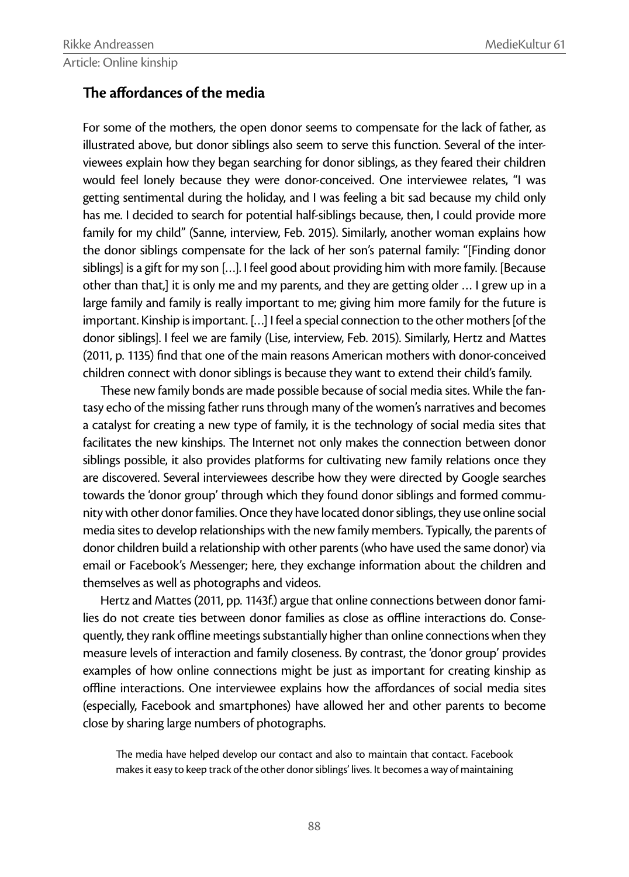## **The affordances of the media**

For some of the mothers, the open donor seems to compensate for the lack of father, as illustrated above, but donor siblings also seem to serve this function. Several of the interviewees explain how they began searching for donor siblings, as they feared their children would feel lonely because they were donor-conceived. One interviewee relates, "I was getting sentimental during the holiday, and I was feeling a bit sad because my child only has me. I decided to search for potential half-siblings because, then, I could provide more family for my child" (Sanne, interview, Feb. 2015). Similarly, another woman explains how the donor siblings compensate for the lack of her son's paternal family: "[Finding donor siblings] is a gift for my son […]. I feel good about providing him with more family. [Because other than that,] it is only me and my parents, and they are getting older … I grew up in a large family and family is really important to me; giving him more family for the future is important. Kinship is important. […] I feel a special connection to the other mothers [of the donor siblings]. I feel we are family (Lise, interview, Feb. 2015). Similarly, Hertz and Mattes (2011, p. 1135) find that one of the main reasons American mothers with donor-conceived children connect with donor siblings is because they want to extend their child's family.

These new family bonds are made possible because of social media sites. While the fantasy echo of the missing father runs through many of the women's narratives and becomes a catalyst for creating a new type of family, it is the technology of social media sites that facilitates the new kinships. The Internet not only makes the connection between donor siblings possible, it also provides platforms for cultivating new family relations once they are discovered. Several interviewees describe how they were directed by Google searches towards the 'donor group' through which they found donor siblings and formed community with other donor families. Once they have located donor siblings, they use online social media sites to develop relationships with the new family members. Typically, the parents of donor children build a relationship with other parents (who have used the same donor) via email or Facebook's Messenger; here, they exchange information about the children and themselves as well as photographs and videos.

Hertz and Mattes (2011, pp. 1143f.) argue that online connections between donor families do not create ties between donor families as close as offline interactions do. Consequently, they rank offline meetings substantially higher than online connections when they measure levels of interaction and family closeness. By contrast, the 'donor group' provides examples of how online connections might be just as important for creating kinship as offline interactions. One interviewee explains how the affordances of social media sites (especially, Facebook and smartphones) have allowed her and other parents to become close by sharing large numbers of photographs.

The media have helped develop our contact and also to maintain that contact. Facebook makes it easy to keep track of the other donor siblings' lives. It becomes a way of maintaining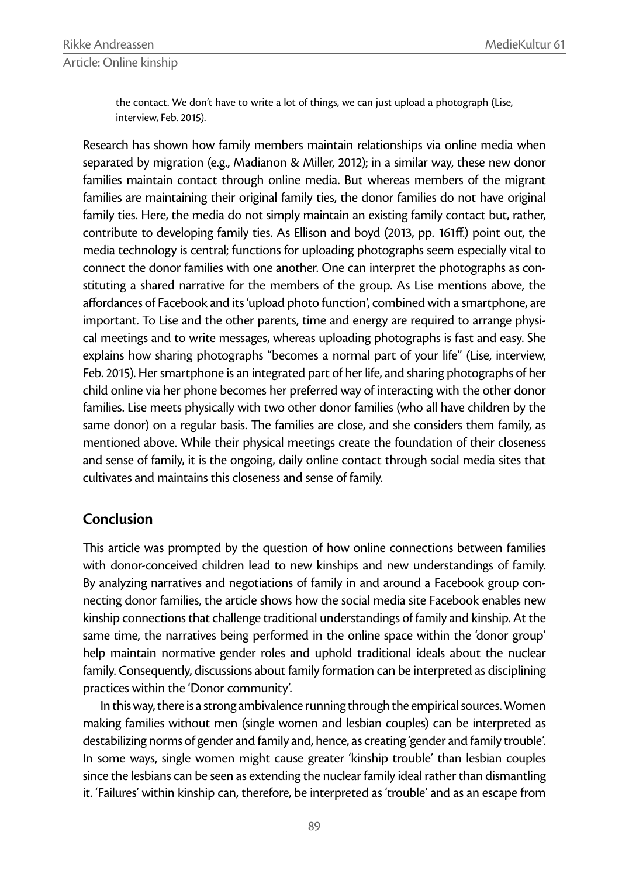the contact. We don't have to write a lot of things, we can just upload a photograph (Lise, interview, Feb. 2015).

Research has shown how family members maintain relationships via online media when separated by migration (e.g., Madianon & Miller, 2012); in a similar way, these new donor families maintain contact through online media. But whereas members of the migrant families are maintaining their original family ties, the donor families do not have original family ties. Here, the media do not simply maintain an existing family contact but, rather, contribute to developing family ties. As Ellison and boyd (2013, pp. 161ff.) point out, the media technology is central; functions for uploading photographs seem especially vital to connect the donor families with one another. One can interpret the photographs as constituting a shared narrative for the members of the group. As Lise mentions above, the affordances of Facebook and its 'upload photo function', combined with a smartphone, are important. To Lise and the other parents, time and energy are required to arrange physical meetings and to write messages, whereas uploading photographs is fast and easy. She explains how sharing photographs "becomes a normal part of your life" (Lise, interview, Feb. 2015). Her smartphone is an integrated part of her life, and sharing photographs of her child online via her phone becomes her preferred way of interacting with the other donor families. Lise meets physically with two other donor families (who all have children by the same donor) on a regular basis. The families are close, and she considers them family, as mentioned above. While their physical meetings create the foundation of their closeness and sense of family, it is the ongoing, daily online contact through social media sites that cultivates and maintains this closeness and sense of family.

### **Conclusion**

This article was prompted by the question of how online connections between families with donor-conceived children lead to new kinships and new understandings of family. By analyzing narratives and negotiations of family in and around a Facebook group connecting donor families, the article shows how the social media site Facebook enables new kinship connections that challenge traditional understandings of family and kinship. At the same time, the narratives being performed in the online space within the 'donor group' help maintain normative gender roles and uphold traditional ideals about the nuclear family. Consequently, discussions about family formation can be interpreted as disciplining practices within the 'Donor community'.

In this way, there is a strong ambivalence running through the empirical sources. Women making families without men (single women and lesbian couples) can be interpreted as destabilizing norms of gender and family and, hence, as creating 'gender and family trouble'. In some ways, single women might cause greater 'kinship trouble' than lesbian couples since the lesbians can be seen as extending the nuclear family ideal rather than dismantling it. 'Failures' within kinship can, therefore, be interpreted as 'trouble' and as an escape from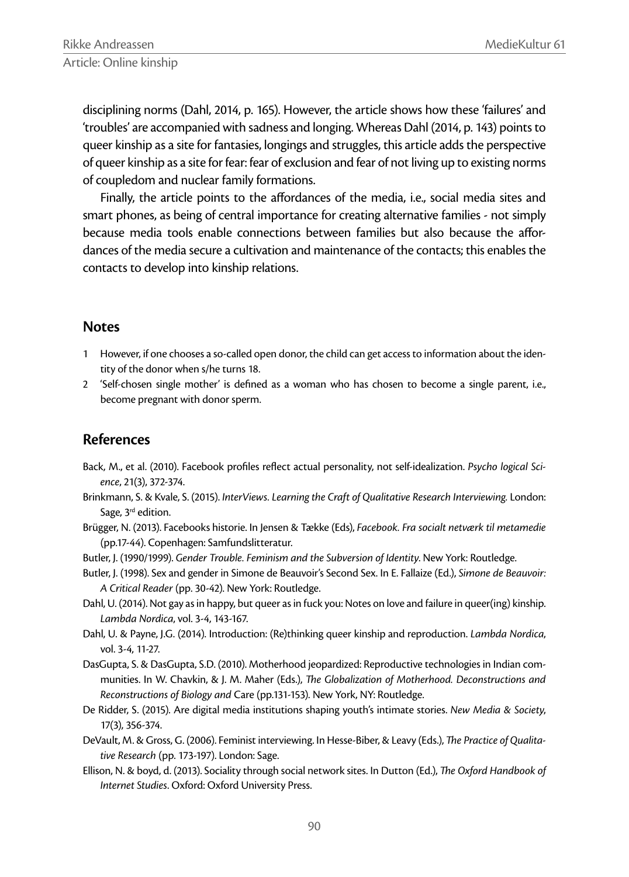disciplining norms (Dahl, 2014, p. 165). However, the article shows how these 'failures' and 'troubles' are accompanied with sadness and longing. Whereas Dahl (2014, p. 143) points to queer kinship as a site for fantasies, longings and struggles, this article adds the perspective of queer kinship as a site for fear: fear of exclusion and fear of not living up to existing norms of coupledom and nuclear family formations.

Finally, the article points to the affordances of the media, i.e., social media sites and smart phones, as being of central importance for creating alternative families - not simply because media tools enable connections between families but also because the affordances of the media secure a cultivation and maintenance of the contacts; this enables the contacts to develop into kinship relations.

#### **Notes**

- 1 However, if one chooses a so-called open donor, the child can get access to information about the identity of the donor when s/he turns 18.
- 2 'Self-chosen single mother' is defined as a woman who has chosen to become a single parent, i.e., become pregnant with donor sperm.

## **References**

- Back, M., et al. (2010). Facebook profiles reflect actual personality, not self-idealization. Psycho logical Sci*ence*, 21(3), 372-374.
- Brinkmann, S. & Kvale, S. (2015). *InterViews. Learning the Craft of Qualitative Research Interviewing.* London: Sage, 3<sup>rd</sup> edition.
- Brügger, N. (2013). Facebooks historie. In Jensen & Tække (Eds), *Facebook. Fra socialt netværk til metamedie* (pp.17-44). Copenhagen: Samfundslitteratur.
- Butler, J. (1990/1999). *Gender Trouble. Feminism and the Subversion of Identity*. New York: Routledge.
- Butler, J. (1998). Sex and gender in Simone de Beauvoir's Second Sex. In E. Fallaize (Ed.), *Simone de Beauvoir: A Critical Reader* (pp. 30-42). New York: Routledge.
- Dahl, U. (2014). Not gay as in happy, but queer as in fuck you: Notes on love and failure in queer(ing) kinship. *Lambda Nordica*, vol. 3-4, 143-167.
- Dahl, U. & Payne, J.G. (2014). Introduction: (Re)thinking queer kinship and reproduction. *Lambda Nordica*, vol. 3-4, 11-27.
- DasGupta, S. & DasGupta, S.D. (2010). Motherhood jeopardized: Reproductive technologies in Indian communities. In W. Chavkin, & J. M. Maher (Eds.), *The Globalization of Motherhood. Deconstructions and Reconstructions of Biology and* Care (pp.131-153). New York, NY: Routledge.
- De Ridder, S. (2015). Are digital media institutions shaping youth's intimate stories. *New Media & Society*, 17(3), 356-374.
- DeVault, M. & Gross, G. (2006). Feminist interviewing. In Hesse-Biber, & Leavy (Eds.), *The Practice of Qualitative Research* (pp. 173-197). London: Sage.
- Ellison, N. & boyd, d. (2013). Sociality through social network sites. In Dutton (Ed.), *The Oxford Handbook of Internet Studies*. Oxford: Oxford University Press.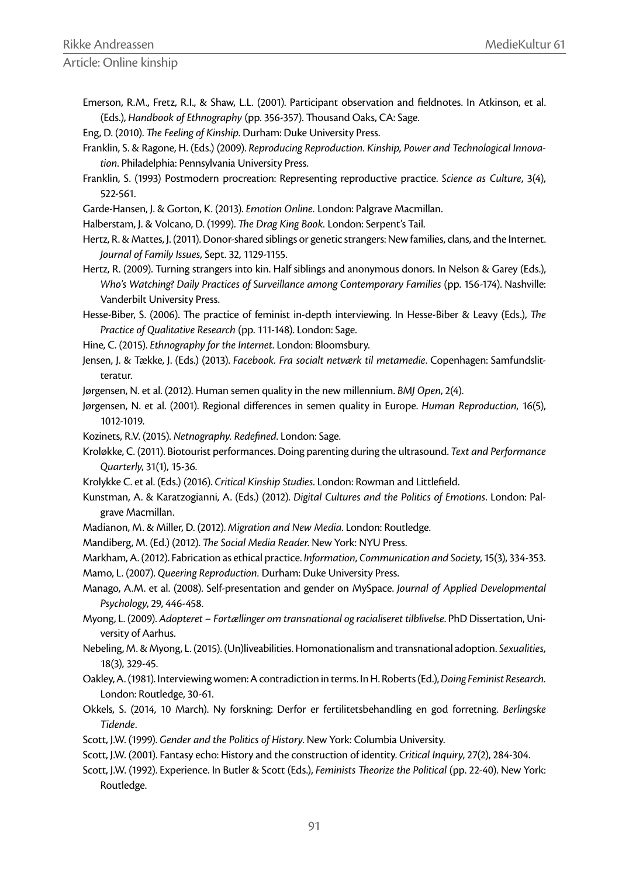Article: Online kinship

- Emerson, R.M., Fretz, R.I., & Shaw, L.L. (2001). Participant observation and fieldnotes. In Atkinson, et al. (Eds.), *Handbook of Ethnography* (pp. 356-357). Thousand Oaks, CA: Sage.
- Eng, D. (2010). *The Feeling of Kinship*. Durham: Duke University Press.
- Franklin, S. & Ragone, H. (Eds.) (2009). *Reproducing Reproduction. Kinship, Power and Technological Innovation*. Philadelphia: Pennsylvania University Press.
- Franklin, S. (1993) Postmodern procreation: Representing reproductive practice. *Science as Culture*, 3(4), 522-561.
- Garde-Hansen, J. & Gorton, K. (2013). *Emotion Online.* London: Palgrave Macmillan.
- Halberstam, J. & Volcano, D. (1999). *The Drag King Book*. London: Serpent's Tail.
- Hertz, R. & Mattes, J. (2011). Donor-shared siblings or genetic strangers: New families, clans, and the Internet. *Journal of Family Issues*, Sept. 32, 1129-1155.
- Hertz, R. (2009). Turning strangers into kin. Half siblings and anonymous donors. In Nelson & Garey (Eds.), *Who's Watching? Daily Practices of Surveillance among Contemporary Families (pp. 156-174). Nashville:* Vanderbilt University Press.
- Hesse-Biber, S. (2006). The practice of feminist in-depth interviewing. In Hesse-Biber & Leavy (Eds.), *The Practice of Qualitative Research* (pp. 111-148). London: Sage.
- Hine, C. (2015). *Ethnography for the Internet*. London: Bloomsbury.
- Jensen, J. & Tække, J. (Eds.) (2013). *Facebook. Fra socialt netværk til metamedie*. Copenhagen: Samfundslitteratur.
- Jørgensen, N. et al. (2012). Human semen quality in the new millennium. *BMJ Open*, 2(4).

Jørgensen, N. et al. (2001). Regional differences in semen quality in Europe. *Human Reproduction*, 16(5), 1012-1019.

- Kozinets, R.V. (2015). *Netnography. Redefined*. London: Sage.
- Kroløkke, C. (2011). Biotourist performances. Doing parenting during the ultrasound. *Text and Performance Quarterly*, 31(1), 15-36.
- Krolykke C. et al. (Eds.) (2016). *Critical Kinship Studies*. London: Rowman and Littlefield.
- Kunstman, A. & Karatzogianni, A. (Eds.) (2012). *Digital Cultures and the Politics of Emotions*. London: Palgrave Macmillan.
- Madianon, M. & Miller, D. (2012). *Migration and New Media*. London: Routledge.
- Mandiberg, M. (Ed.) (2012). *The Social Media Reader*. New York: NYU Press.

Markham, A. (2012). Fabrication as ethical practice. *Information, Communication and Society*, 15(3), 334-353.

- Mamo, L. (2007). *Queering Reproduction.* Durham: Duke University Press.
- Manago, A.M. et al. (2008). Self-presentation and gender on MySpace. *Journal of Applied Developmental Psychology*, 29, 446-458.
- Myong, L. (2009). *Adopteret Fortællinger om transnational og racialiseret tilblivelse*. PhD Dissertation, University of Aarhus.
- Nebeling, M. & Myong, L. (2015). (Un)liveabilities. Homonationalism and transnational adoption. *Sexualities,* 18(3), 329-45.
- Oakley, A. (1981). Interviewing women: A contradiction in terms. In H. Roberts (Ed.), *Doing Feminist Research.* London: Routledge, 30-61.
- Okkels, S. (2014, 10 March). Ny forskning: Derfor er fertilitetsbehandling en god forretning. *Berlingske Tidende*.
- Scott, J.W. (1999). *Gender and the Politics of History*. New York: Columbia University.
- Scott, J.W. (2001). Fantasy echo: History and the construction of identity. *Critical Inquiry*, 27(2), 284-304.
- Scott, J.W. (1992). Experience. In Butler & Scott (Eds.), *Feminists Theorize the Political (pp. 22-40)*. New York: Routledge.